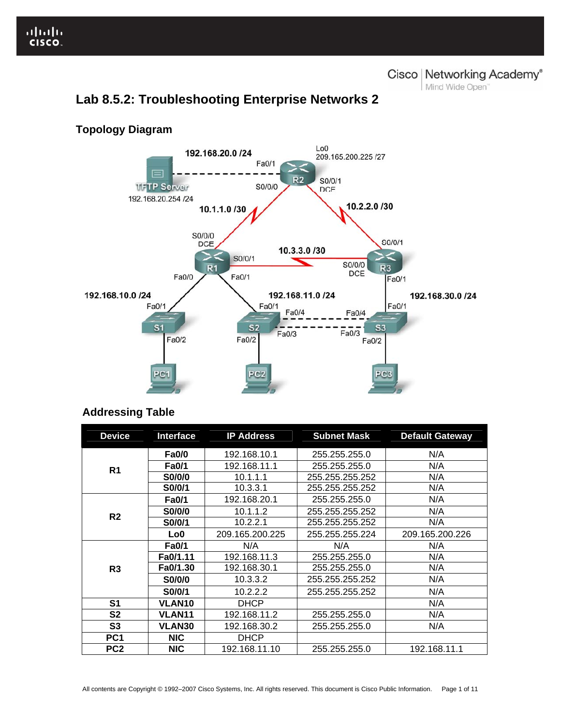Cisco | Networking Academy®

Mind Wide Open<sup>"</sup>



# **Lab 8.5.2: Troubleshooting Enterprise Networks 2**

# **Addressing Table**

| <b>Device</b>   | <b>Interface</b> | <b>IP Address</b> | <b>Subnet Mask</b> | <b>Default Gateway</b> |
|-----------------|------------------|-------------------|--------------------|------------------------|
| R <sub>1</sub>  | <b>Fa0/0</b>     | 192.168.10.1      | 255.255.255.0      | N/A                    |
|                 | <b>Fa0/1</b>     | 192.168.11.1      | 255.255.255.0      | N/A                    |
|                 | <b>S0/0/0</b>    | 10.1.1.1          | 255.255.255.252    | N/A                    |
|                 | S0/0/1           | 10.3.3.1          | 255.255.255.252    | N/A                    |
| R <sub>2</sub>  | <b>Fa0/1</b>     | 192.168.20.1      | 255.255.255.0      | N/A                    |
|                 | S0/0/0           | 10.1.1.2          | 255.255.255.252    | N/A                    |
|                 | S0/0/1           | 10.2.2.1          | 255.255.255.252    | N/A                    |
|                 | Lo0              | 209.165.200.225   | 255.255.255.224    | 209.165.200.226        |
| R <sub>3</sub>  | <b>Fa0/1</b>     | N/A               | N/A                | N/A                    |
|                 | Fa0/1.11         | 192.168.11.3      | 255.255.255.0      | N/A                    |
|                 | Fa0/1.30         | 192.168.30.1      | 255.255.255.0      | N/A                    |
|                 | S0/0/0           | 10.3.3.2          | 255.255.255.252    | N/A                    |
|                 | S0/0/1           | 10.2.2.2          | 255.255.255.252    | N/A                    |
| S1              | <b>VLAN10</b>    | <b>DHCP</b>       |                    | N/A                    |
| S2              | <b>VLAN11</b>    | 192.168.11.2      | 255.255.255.0      | N/A                    |
| S <sub>3</sub>  | <b>VLAN30</b>    | 192.168.30.2      | 255.255.255.0      | N/A                    |
| PC <sub>1</sub> | <b>NIC</b>       | <b>DHCP</b>       |                    |                        |
| PC <sub>2</sub> | <b>NIC</b>       | 192.168.11.10     | 255.255.255.0      | 192.168.11.1           |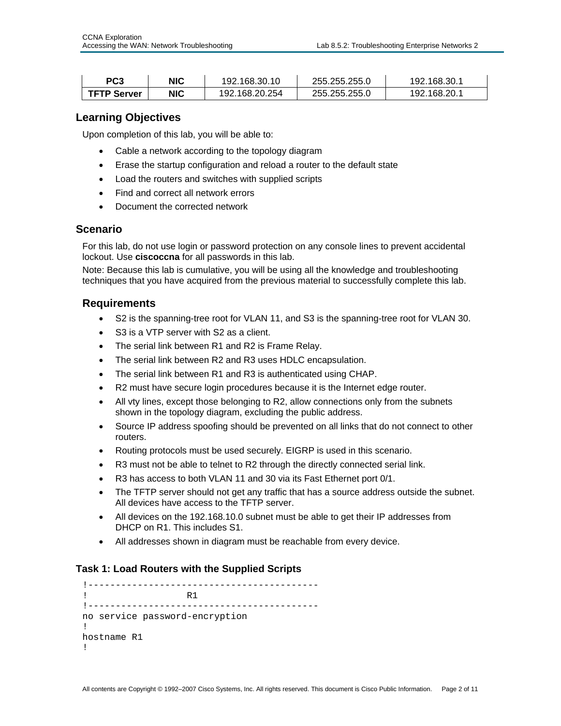| PC3                | NIC        | 192.168.30.10  | 255.255.255.0 | 192.168.30.1 |
|--------------------|------------|----------------|---------------|--------------|
| <b>TFTP Server</b> | <b>NIC</b> | 192.168.20.254 | 255.255.255.0 | 192.168.20.1 |

## **Learning Objectives**

Upon completion of this lab, you will be able to:

- Cable a network according to the topology diagram
- Erase the startup configuration and reload a router to the default state
- Load the routers and switches with supplied scripts
- Find and correct all network errors
- Document the corrected network

## **Scenario**

Ī

For this lab, do not use login or password protection on any console lines to prevent accidental lockout. Use **ciscoccna** for all passwords in this lab.

Note: Because this lab is cumulative, you will be using all the knowledge and troubleshooting techniques that you have acquired from the previous material to successfully complete this lab.

#### **Requirements**

- S2 is the spanning-tree root for VLAN 11, and S3 is the spanning-tree root for VLAN 30.
- S3 is a VTP server with S2 as a client.
- The serial link between R1 and R2 is Frame Relay.
- The serial link between R2 and R3 uses HDLC encapsulation.
- The serial link between R1 and R3 is authenticated using CHAP.
- R2 must have secure login procedures because it is the Internet edge router.
- All vty lines, except those belonging to R2, allow connections only from the subnets shown in the topology diagram, excluding the public address.
- Source IP address spoofing should be prevented on all links that do not connect to other routers.
- Routing protocols must be used securely. EIGRP is used in this scenario.
- R3 must not be able to telnet to R2 through the directly connected serial link.
- R3 has access to both VLAN 11 and 30 via its Fast Ethernet port 0/1.
- The TFTP server should not get any traffic that has a source address outside the subnet. All devices have access to the TFTP server.
- All devices on the 192.168.10.0 subnet must be able to get their IP addresses from DHCP on R1. This includes S1.
- All addresses shown in diagram must be reachable from every device.

# **Task 1: Load Routers with the Supplied Scripts**

```
!------------------------------------------ 
! R1 
!------------------------------------------ 
no service password-encryption 
! 
hostname R1 
!
```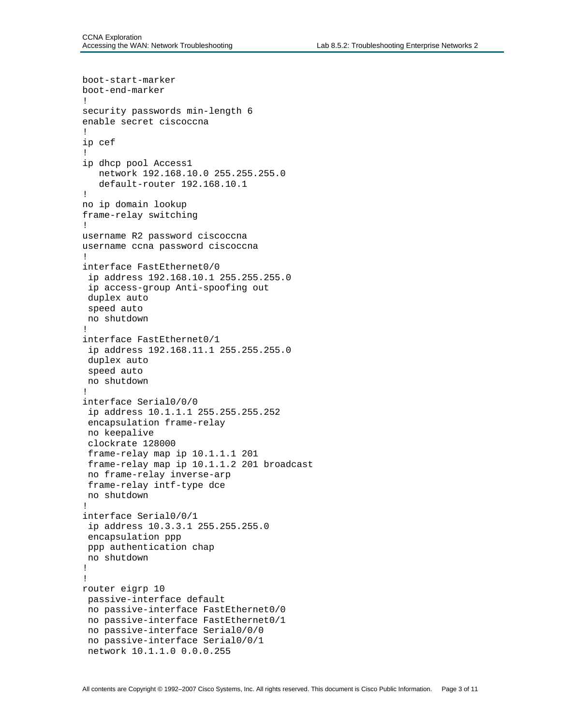```
boot-start-marker 
boot-end-marker 
! 
security passwords min-length 6 
enable secret ciscoccna 
! 
ip cef 
! 
ip dhcp pool Access1 
    network 192.168.10.0 255.255.255.0 
    default-router 192.168.10.1 
! 
no ip domain lookup 
frame-relay switching 
! 
username R2 password ciscoccna 
username ccna password ciscoccna 
! 
interface FastEthernet0/0 
  ip address 192.168.10.1 255.255.255.0 
  ip access-group Anti-spoofing out 
  duplex auto 
  speed auto 
 no shutdown 
! 
interface FastEthernet0/1 
  ip address 192.168.11.1 255.255.255.0 
  duplex auto 
  speed auto 
 no shutdown 
! 
interface Serial0/0/0 
  ip address 10.1.1.1 255.255.255.252 
  encapsulation frame-relay 
 no keepalive 
  clockrate 128000 
  frame-relay map ip 10.1.1.1 201 
  frame-relay map ip 10.1.1.2 201 broadcast 
 no frame-relay inverse-arp 
  frame-relay intf-type dce 
 no shutdown 
! 
interface Serial0/0/1 
  ip address 10.3.3.1 255.255.255.0 
  encapsulation ppp 
 ppp authentication chap 
 no shutdown 
! 
! 
router eigrp 10 
 passive-interface default 
 no passive-interface FastEthernet0/0 
 no passive-interface FastEthernet0/1 
 no passive-interface Serial0/0/0 
  no passive-interface Serial0/0/1 
  network 10.1.1.0 0.0.0.255
```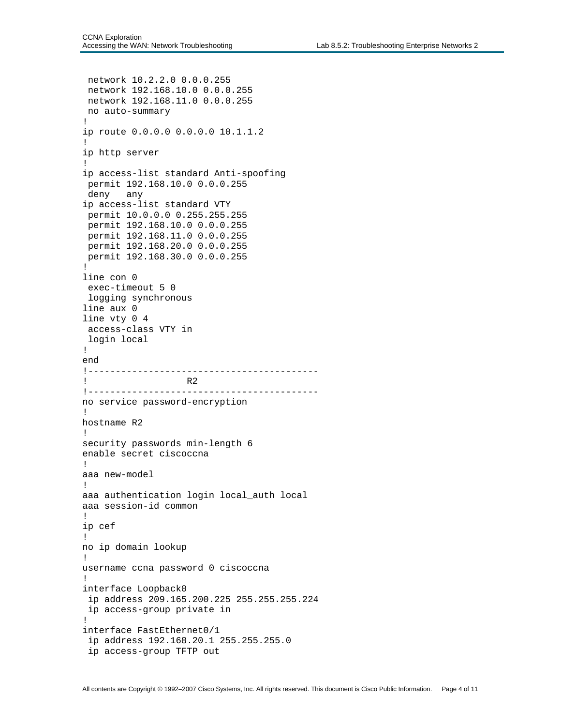```
network 10.2.2.0 0.0.0.255 
  network 192.168.10.0 0.0.0.255 
  network 192.168.11.0 0.0.0.255 
 no auto-summary 
! 
ip route 0.0.0.0 0.0.0.0 10.1.1.2 
! 
ip http server 
! 
ip access-list standard Anti-spoofing 
 permit 192.168.10.0 0.0.0.255 
  deny any 
ip access-list standard VTY 
 permit 10.0.0.0 0.255.255.255 
  permit 192.168.10.0 0.0.0.255 
  permit 192.168.11.0 0.0.0.255 
  permit 192.168.20.0 0.0.0.255 
 permit 192.168.30.0 0.0.0.255 
! 
line con 0 
  exec-timeout 5 0 
 logging synchronous 
line aux 0 
line vty 0 4 
  access-class VTY in 
 login local 
! 
end 
!------------------------------------------ 
! R2 
!------------------------------------------ 
no service password-encryption 
! 
hostname R2 
! 
security passwords min-length 6 
enable secret ciscoccna 
! 
aaa new-model 
! 
aaa authentication login local_auth local 
aaa session-id common 
! 
ip cef 
! 
no ip domain lookup 
! 
username ccna password 0 ciscoccna 
! 
interface Loopback0 
  ip address 209.165.200.225 255.255.255.224 
  ip access-group private in 
! 
interface FastEthernet0/1 
  ip address 192.168.20.1 255.255.255.0 
  ip access-group TFTP out
```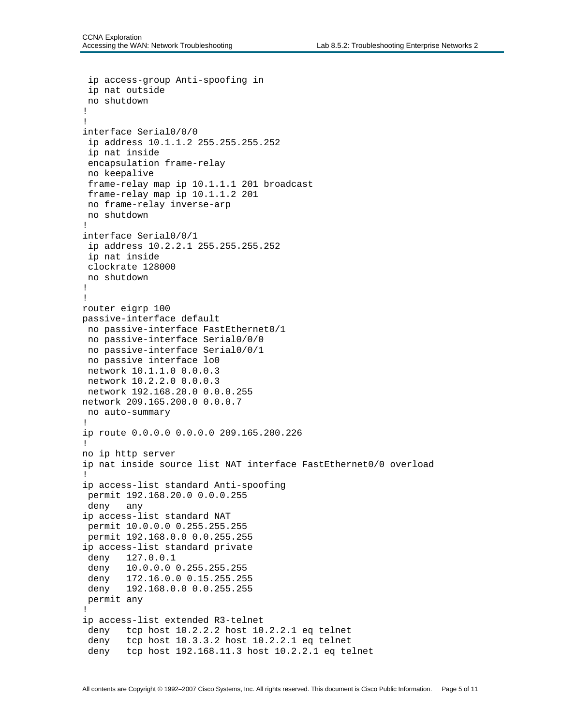```
 ip access-group Anti-spoofing in 
  ip nat outside 
  no shutdown 
! 
! 
interface Serial0/0/0 
  ip address 10.1.1.2 255.255.255.252 
  ip nat inside 
  encapsulation frame-relay 
  no keepalive 
  frame-relay map ip 10.1.1.1 201 broadcast 
  frame-relay map ip 10.1.1.2 201 
  no frame-relay inverse-arp 
  no shutdown 
! 
interface Serial0/0/1 
  ip address 10.2.2.1 255.255.255.252 
  ip nat inside 
  clockrate 128000 
 no shutdown 
! 
! 
router eigrp 100 
passive-interface default 
 no passive-interface FastEthernet0/1 
 no passive-interface Serial0/0/0 
 no passive-interface Serial0/0/1 
  no passive interface lo0 
  network 10.1.1.0 0.0.0.3 
  network 10.2.2.0 0.0.0.3 
  network 192.168.20.0 0.0.0.255 
network 209.165.200.0 0.0.0.7 
 no auto-summary 
! 
ip route 0.0.0.0 0.0.0.0 209.165.200.226 
! 
no ip http server 
ip nat inside source list NAT interface FastEthernet0/0 overload 
! 
ip access-list standard Anti-spoofing 
 permit 192.168.20.0 0.0.0.255 
  deny any 
ip access-list standard NAT 
  permit 10.0.0.0 0.255.255.255 
  permit 192.168.0.0 0.0.255.255 
ip access-list standard private 
  deny 127.0.0.1 
  deny 10.0.0.0 0.255.255.255 
  deny 172.16.0.0 0.15.255.255 
  deny 192.168.0.0 0.0.255.255 
  permit any 
! 
ip access-list extended R3-telnet 
  deny tcp host 10.2.2.2 host 10.2.2.1 eq telnet 
  deny tcp host 10.3.3.2 host 10.2.2.1 eq telnet 
  deny tcp host 192.168.11.3 host 10.2.2.1 eq telnet
```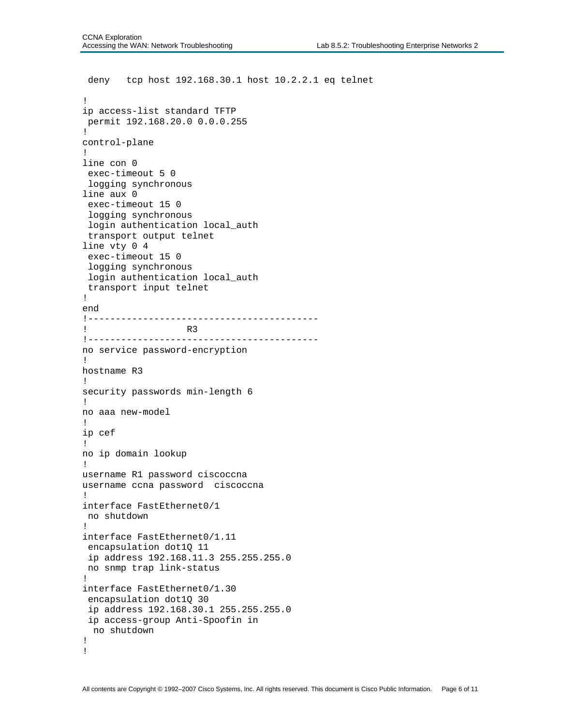```
 deny tcp host 192.168.30.1 host 10.2.2.1 eq telnet 
! 
ip access-list standard TFTP 
 permit 192.168.20.0 0.0.0.255 
! 
control-plane 
! 
line con 0 
  exec-timeout 5 0 
  logging synchronous 
line aux 0 
  exec-timeout 15 0 
  logging synchronous 
  login authentication local_auth 
  transport output telnet 
line vty 0 4 
  exec-timeout 15 0 
  logging synchronous 
  login authentication local_auth 
  transport input telnet 
! 
end 
!------------------------------------------ 
! R3 
!------------------------------------------ 
no service password-encryption 
! 
hostname R3 
! 
security passwords min-length 6 
! 
no aaa new-model 
! 
ip cef 
! 
no ip domain lookup 
! 
username R1 password ciscoccna 
username ccna password ciscoccna 
! 
interface FastEthernet0/1 
 no shutdown 
! 
interface FastEthernet0/1.11 
  encapsulation dot1Q 11 
  ip address 192.168.11.3 255.255.255.0 
 no snmp trap link-status 
! 
interface FastEthernet0/1.30 
  encapsulation dot1Q 30 
  ip address 192.168.30.1 255.255.255.0 
 ip access-group Anti-Spoofin in 
   no shutdown 
! 
!
```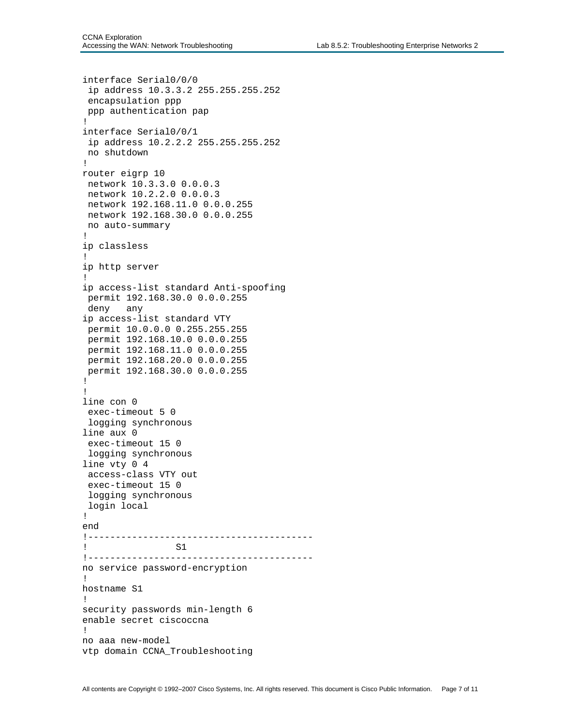```
interface Serial0/0/0 
  ip address 10.3.3.2 255.255.255.252 
  encapsulation ppp 
 ppp authentication pap 
! 
interface Serial0/0/1 
  ip address 10.2.2.2 255.255.255.252 
 no shutdown 
! 
router eigrp 10 
  network 10.3.3.0 0.0.0.3 
 network 10.2.2.0 0.0.0.3 
 network 192.168.11.0 0.0.0.255 
 network 192.168.30.0 0.0.0.255 
 no auto-summary 
! 
ip classless 
! 
ip http server 
! 
ip access-list standard Anti-spoofing 
 permit 192.168.30.0 0.0.0.255 
  deny any 
ip access-list standard VTY 
  permit 10.0.0.0 0.255.255.255 
  permit 192.168.10.0 0.0.0.255 
  permit 192.168.11.0 0.0.0.255 
  permit 192.168.20.0 0.0.0.255 
 permit 192.168.30.0 0.0.0.255 
! 
! 
line con 0 
  exec-timeout 5 0 
  logging synchronous 
line aux 0 
  exec-timeout 15 0 
  logging synchronous 
line vty 0 4 
  access-class VTY out 
  exec-timeout 15 0 
  logging synchronous 
 login local 
! 
end 
!----------------------------------------- 
! S1 
!----------------------------------------- 
no service password-encryption 
! 
hostname S1 
! 
security passwords min-length 6 
enable secret ciscoccna 
! 
no aaa new-model 
vtp domain CCNA_Troubleshooting
```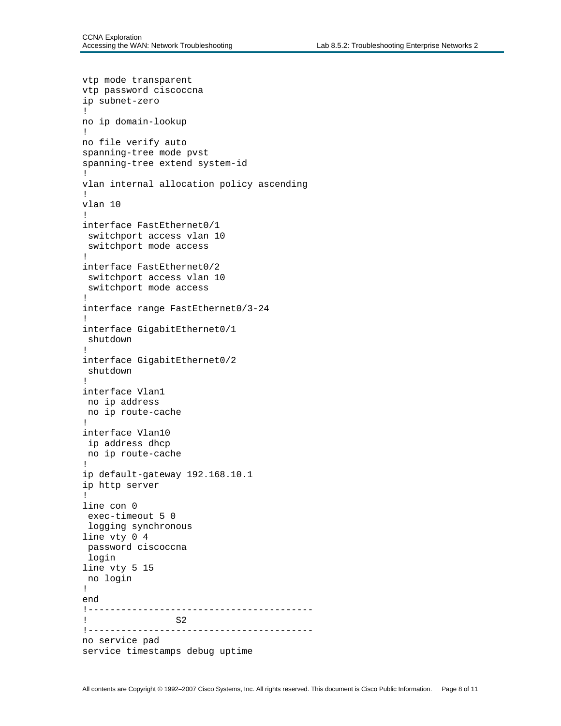```
vtp mode transparent 
vtp password ciscoccna 
ip subnet-zero 
! 
no ip domain-lookup 
! 
no file verify auto 
spanning-tree mode pvst 
spanning-tree extend system-id 
! 
vlan internal allocation policy ascending 
! 
vlan 10 
! 
interface FastEthernet0/1 
 switchport access vlan 10 
 switchport mode access 
! 
interface FastEthernet0/2 
 switchport access vlan 10 
 switchport mode access 
! 
interface range FastEthernet0/3-24 
! 
interface GigabitEthernet0/1 
 shutdown 
! 
interface GigabitEthernet0/2 
 shutdown 
! 
interface Vlan1 
 no ip address 
 no ip route-cache 
! 
interface Vlan10 
 ip address dhcp 
 no ip route-cache 
! 
ip default-gateway 192.168.10.1 
ip http server 
! 
line con 0 
 exec-timeout 5 0 
  logging synchronous 
line vty 0 4 
  password ciscoccna 
  login 
line vty 5 15 
 no login 
! 
end 
!----------------------------------------- 
! S2 
!----------------------------------------- 
no service pad 
service timestamps debug uptime
```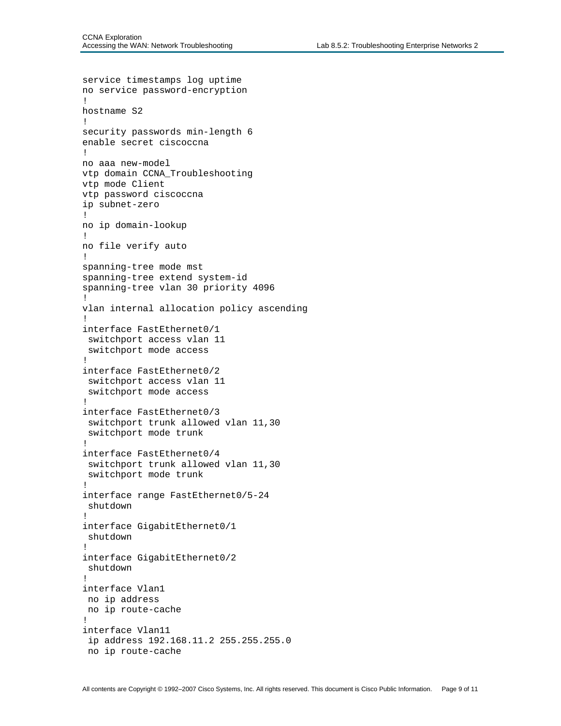```
service timestamps log uptime 
no service password-encryption 
! 
hostname S2 
! 
security passwords min-length 6 
enable secret ciscoccna 
! 
no aaa new-model 
vtp domain CCNA_Troubleshooting 
vtp mode Client 
vtp password ciscoccna 
ip subnet-zero 
! 
no ip domain-lookup 
! 
no file verify auto 
! 
spanning-tree mode mst 
spanning-tree extend system-id 
spanning-tree vlan 30 priority 4096 
! 
vlan internal allocation policy ascending 
! 
interface FastEthernet0/1 
  switchport access vlan 11 
  switchport mode access 
! 
interface FastEthernet0/2 
  switchport access vlan 11 
  switchport mode access 
! 
interface FastEthernet0/3 
  switchport trunk allowed vlan 11,30 
  switchport mode trunk 
! 
interface FastEthernet0/4 
  switchport trunk allowed vlan 11,30 
  switchport mode trunk 
! 
interface range FastEthernet0/5-24 
  shutdown 
! 
interface GigabitEthernet0/1 
  shutdown 
! 
interface GigabitEthernet0/2 
  shutdown 
! 
interface Vlan1 
  no ip address 
 no ip route-cache 
! 
interface Vlan11 
  ip address 192.168.11.2 255.255.255.0 
  no ip route-cache
```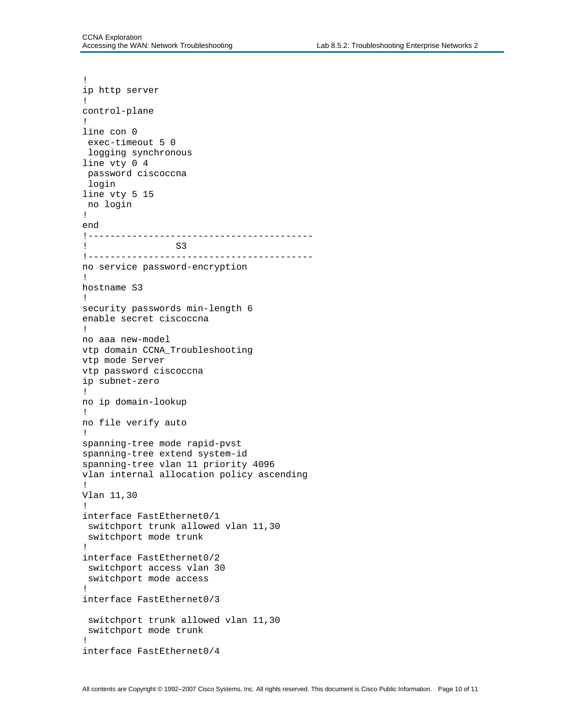```
! 
ip http server 
! 
control-plane 
! 
line con 0 
 exec-timeout 5 0 
 logging synchronous 
line vty 0 4 
 password ciscoccna 
  login 
line vty 5 15 
 no login 
! 
end 
!----------------------------------------- 
! S3 
!----------------------------------------- 
no service password-encryption 
! 
hostname S3 
! 
security passwords min-length 6 
enable secret ciscoccna 
! 
no aaa new-model 
vtp domain CCNA_Troubleshooting 
vtp mode Server 
vtp password ciscoccna 
ip subnet-zero 
! 
no ip domain-lookup 
! 
no file verify auto 
! 
spanning-tree mode rapid-pvst 
spanning-tree extend system-id 
spanning-tree vlan 11 priority 4096 
vlan internal allocation policy ascending 
! 
Vlan 11,30 
! 
interface FastEthernet0/1 
  switchport trunk allowed vlan 11,30 
  switchport mode trunk 
! 
interface FastEthernet0/2 
  switchport access vlan 30 
  switchport mode access 
! 
interface FastEthernet0/3 
  switchport trunk allowed vlan 11,30 
  switchport mode trunk 
! 
interface FastEthernet0/4
```